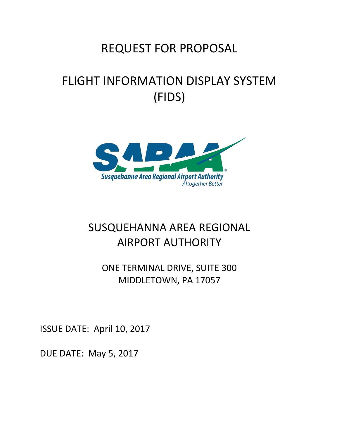# REQUEST FOR PROPOSAL

# FLIGHT INFORMATION DISPLAY SYSTEM (FIDS)



# SUSQUEHANNA AREA REGIONAL AIRPORT AUTHORITY

ONE TERMINAL DRIVE, SUITE 300 MIDDLETOWN, PA 17057

ISSUE DATE: April 10, 2017

DUE DATE: May 5, 2017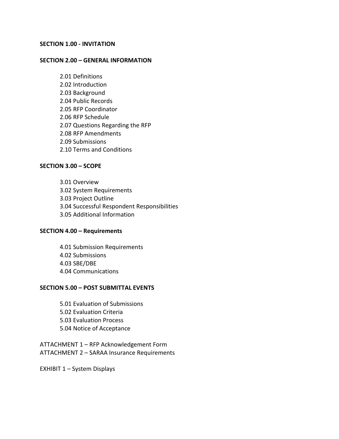#### **SECTION 1.00 ‐ INVITATION**

#### **SECTION 2.00 – GENERAL INFORMATION**

2.01 Definitions 2.02 Introduction 2.03 Background 2.04 Public Records 2.05 RFP Coordinator 2.06 RFP Schedule 2.07 Questions Regarding the RFP 2.08 RFP Amendments 2.09 Submissions 2.10 Terms and Conditions

#### **SECTION 3.00 – SCOPE**

3.01 Overview 3.02 System Requirements 3.03 Project Outline 3.04 Successful Respondent Responsibilities 3.05 Additional Information

#### **SECTION 4.00 – Requirements**

4.01 Submission Requirements 4.02 Submissions 4.03 SBE/DBE 4.04 Communications

#### **SECTION 5.00 – POST SUBMITTAL EVENTS**

5.01 Evaluation of Submissions 5.02 Evaluation Criteria 5.03 Evaluation Process 5.04 Notice of Acceptance

ATTACHMENT 1 – RFP Acknowledgement Form ATTACHMENT 2 – SARAA Insurance Requirements

EXHIBIT 1 – System Displays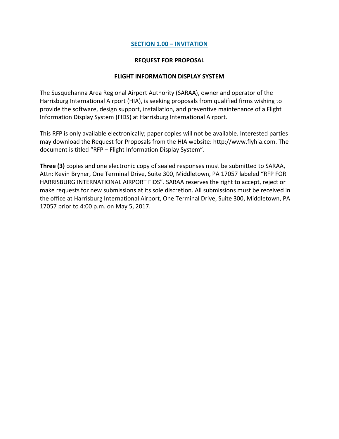#### **SECTION 1.00 – INVITATION**

#### **REQUEST FOR PROPOSAL**

#### **FLIGHT INFORMATION DISPLAY SYSTEM**

The Susquehanna Area Regional Airport Authority (SARAA), owner and operator of the Harrisburg International Airport (HIA), is seeking proposals from qualified firms wishing to provide the software, design support, installation, and preventive maintenance of a Flight Information Display System (FIDS) at Harrisburg International Airport.

This RFP is only available electronically; paper copies will not be available. Interested parties may download the Request for Proposals from the HIA website: http://www.flyhia.com. The document is titled "RFP – Flight Information Display System".

**Three (3)** copies and one electronic copy of sealed responses must be submitted to SARAA, Attn: Kevin Bryner, One Terminal Drive, Suite 300, Middletown, PA 17057 labeled "RFP FOR HARRISBURG INTERNATIONAL AIRPORT FIDS". SARAA reserves the right to accept, reject or make requests for new submissions at its sole discretion. All submissions must be received in the office at Harrisburg International Airport, One Terminal Drive, Suite 300, Middletown, PA 17057 prior to 4:00 p.m. on May 5, 2017.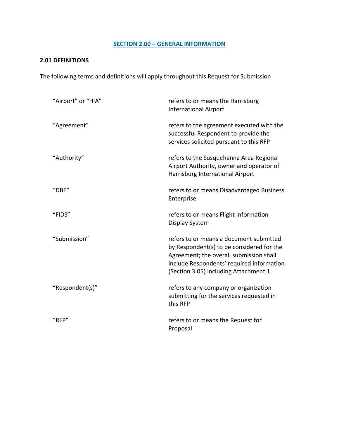# **SECTION 2.00 – GENERAL INFORMATION**

# **2.01 DEFINITIONS**

The following terms and definitions will apply throughout this Request for Submission

| "Airport" or "HIA" | refers to or means the Harrisburg<br><b>International Airport</b>                                                                                                                                                      |
|--------------------|------------------------------------------------------------------------------------------------------------------------------------------------------------------------------------------------------------------------|
| "Agreement"        | refers to the agreement executed with the<br>successful Respondent to provide the<br>services solicited pursuant to this RFP                                                                                           |
| "Authority"        | refers to the Susquehanna Area Regional<br>Airport Authority, owner and operator of<br>Harrisburg International Airport                                                                                                |
| "DBE"              | refers to or means Disadvantaged Business<br>Enterprise                                                                                                                                                                |
| "FIDS"             | refers to or means Flight Information<br>Display System                                                                                                                                                                |
| "Submission"       | refers to or means a document submitted<br>by Respondent(s) to be considered for the<br>Agreement; the overall submission shall<br>include Respondents' required information<br>(Section 3.05) including Attachment 1. |
| "Respondent(s)"    | refers to any company or organization<br>submitting for the services requested in<br>this RFP                                                                                                                          |
| "RFP"              | refers to or means the Request for<br>Proposal                                                                                                                                                                         |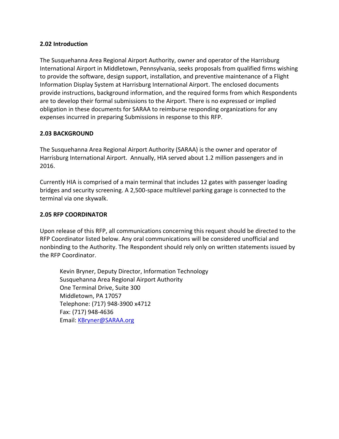#### **2.02 Introduction**

The Susquehanna Area Regional Airport Authority, owner and operator of the Harrisburg International Airport in Middletown, Pennsylvania, seeks proposals from qualified firms wishing to provide the software, design support, installation, and preventive maintenance of a Flight Information Display System at Harrisburg International Airport. The enclosed documents provide instructions, background information, and the required forms from which Respondents are to develop their formal submissions to the Airport. There is no expressed or implied obligation in these documents for SARAA to reimburse responding organizations for any expenses incurred in preparing Submissions in response to this RFP.

#### **2.03 BACKGROUND**

The Susquehanna Area Regional Airport Authority (SARAA) is the owner and operator of Harrisburg International Airport. Annually, HIA served about 1.2 million passengers and in 2016.

Currently HIA is comprised of a main terminal that includes 12 gates with passenger loading bridges and security screening. A 2,500-space multilevel parking garage is connected to the terminal via one skywalk.

#### **2.05 RFP COORDINATOR**

Upon release of this RFP, all communications concerning this request should be directed to the RFP Coordinator listed below. Any oral communications will be considered unofficial and nonbinding to the Authority. The Respondent should rely only on written statements issued by the RFP Coordinator.

Kevin Bryner, Deputy Director, Information Technology Susquehanna Area Regional Airport Authority One Terminal Drive, Suite 300 Middletown, PA 17057 Telephone: (717) 948-3900 x4712 Fax: (717) 948-4636 Email: [KBryner@SARAA.org](mailto:KBryner@SARAA.org)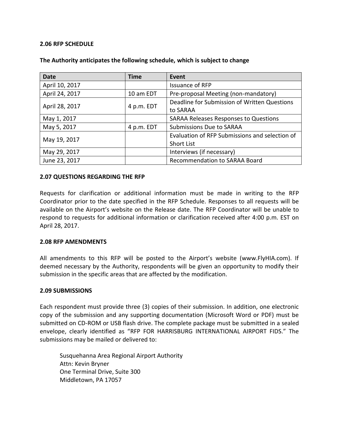#### **2.06 RFP SCHEDULE**

| <b>Date</b>    | <b>Time</b> | Event                                          |  |
|----------------|-------------|------------------------------------------------|--|
| April 10, 2017 |             | <b>Issuance of RFP</b>                         |  |
| April 24, 2017 | 10 am EDT   | Pre-proposal Meeting (non-mandatory)           |  |
| April 28, 2017 | 4 p.m. EDT  | Deadline for Submission of Written Questions   |  |
|                |             | to SARAA                                       |  |
| May 1, 2017    |             | <b>SARAA Releases Responses to Questions</b>   |  |
| May 5, 2017    | 4 p.m. EDT  | <b>Submissions Due to SARAA</b>                |  |
| May 19, 2017   |             | Evaluation of RFP Submissions and selection of |  |
|                |             | <b>Short List</b>                              |  |
| May 29, 2017   |             | Interviews (if necessary)                      |  |
| June 23, 2017  |             | Recommendation to SARAA Board                  |  |

#### **The Authority anticipates the following schedule, which is subject to change**

#### **2.07 QUESTIONS REGARDING THE RFP**

Requests for clarification or additional information must be made in writing to the RFP Coordinator prior to the date specified in the RFP Schedule. Responses to all requests will be available on the Airport's website on the Release date. The RFP Coordinator will be unable to respond to requests for additional information or clarification received after 4:00 p.m. EST on April 28, 2017.

#### **2.08 RFP AMENDMENTS**

All amendments to this RFP will be posted to the Airport's website (www.FlyHIA.com). If deemed necessary by the Authority, respondents will be given an opportunity to modify their submission in the specific areas that are affected by the modification.

#### **2.09 SUBMISSIONS**

Each respondent must provide three (3) copies of their submission. In addition, one electronic copy of the submission and any supporting documentation (Microsoft Word or PDF) must be submitted on CD-ROM or USB flash drive. The complete package must be submitted in a sealed envelope, clearly identified as "RFP FOR HARRISBURG INTERNATIONAL AIRPORT FIDS." The submissions may be mailed or delivered to:

Susquehanna Area Regional Airport Authority Attn: Kevin Bryner One Terminal Drive, Suite 300 Middletown, PA 17057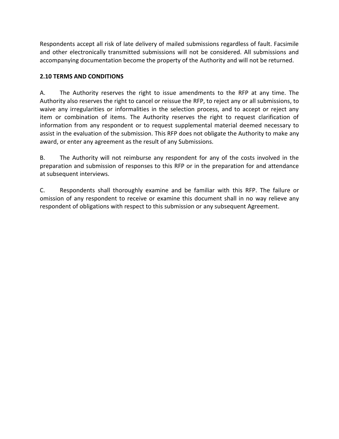Respondents accept all risk of late delivery of mailed submissions regardless of fault. Facsimile and other electronically transmitted submissions will not be considered. All submissions and accompanying documentation become the property of the Authority and will not be returned.

## **2.10 TERMS AND CONDITIONS**

A. The Authority reserves the right to issue amendments to the RFP at any time. The Authority also reserves the right to cancel or reissue the RFP, to reject any or all submissions, to waive any irregularities or informalities in the selection process, and to accept or reject any item or combination of items. The Authority reserves the right to request clarification of information from any respondent or to request supplemental material deemed necessary to assist in the evaluation of the submission. This RFP does not obligate the Authority to make any award, or enter any agreement as the result of any Submissions.

B. The Authority will not reimburse any respondent for any of the costs involved in the preparation and submission of responses to this RFP or in the preparation for and attendance at subsequent interviews.

C. Respondents shall thoroughly examine and be familiar with this RFP. The failure or omission of any respondent to receive or examine this document shall in no way relieve any respondent of obligations with respect to this submission or any subsequent Agreement.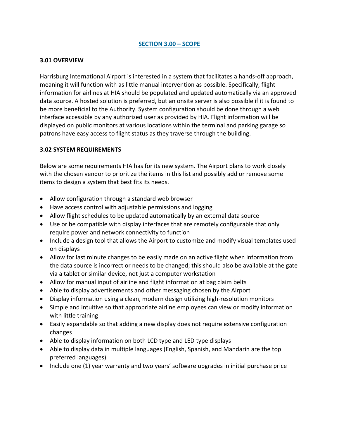### **SECTION 3.00 – SCOPE**

#### **3.01 OVERVIEW**

Harrisburg International Airport is interested in a system that facilitates a hands-off approach, meaning it will function with as little manual intervention as possible. Specifically, flight information for airlines at HIA should be populated and updated automatically via an approved data source. A hosted solution is preferred, but an onsite server is also possible if it is found to be more beneficial to the Authority. System configuration should be done through a web interface accessible by any authorized user as provided by HIA. Flight information will be displayed on public monitors at various locations within the terminal and parking garage so patrons have easy access to flight status as they traverse through the building.

#### **3.02 SYSTEM REQUIREMENTS**

Below are some requirements HIA has for its new system. The Airport plans to work closely with the chosen vendor to prioritize the items in this list and possibly add or remove some items to design a system that best fits its needs.

- Allow configuration through a standard web browser
- Have access control with adjustable permissions and logging
- Allow flight schedules to be updated automatically by an external data source
- Use or be compatible with display interfaces that are remotely configurable that only require power and network connectivity to function
- Include a design tool that allows the Airport to customize and modify visual templates used on displays
- Allow for last minute changes to be easily made on an active flight when information from the data source is incorrect or needs to be changed; this should also be available at the gate via a tablet or similar device, not just a computer workstation
- Allow for manual input of airline and flight information at bag claim belts
- Able to display advertisements and other messaging chosen by the Airport
- Display information using a clean, modern design utilizing high-resolution monitors
- Simple and intuitive so that appropriate airline employees can view or modify information with little training
- Easily expandable so that adding a new display does not require extensive configuration changes
- Able to display information on both LCD type and LED type displays
- Able to display data in multiple languages (English, Spanish, and Mandarin are the top preferred languages)
- Include one (1) year warranty and two years' software upgrades in initial purchase price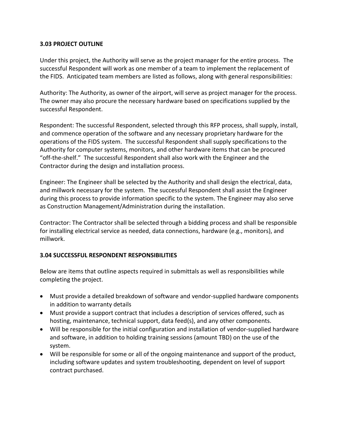#### **3.03 PROJECT OUTLINE**

Under this project, the Authority will serve as the project manager for the entire process. The successful Respondent will work as one member of a team to implement the replacement of the FIDS. Anticipated team members are listed as follows, along with general responsibilities:

Authority: The Authority, as owner of the airport, will serve as project manager for the process. The owner may also procure the necessary hardware based on specifications supplied by the successful Respondent.

Respondent: The successful Respondent, selected through this RFP process, shall supply, install, and commence operation of the software and any necessary proprietary hardware for the operations of the FIDS system. The successful Respondent shall supply specifications to the Authority for computer systems, monitors, and other hardware items that can be procured "off-the-shelf." The successful Respondent shall also work with the Engineer and the Contractor during the design and installation process.

Engineer: The Engineer shall be selected by the Authority and shall design the electrical, data, and millwork necessary for the system. The successful Respondent shall assist the Engineer during this process to provide information specific to the system. The Engineer may also serve as Construction Management/Administration during the installation.

Contractor: The Contractor shall be selected through a bidding process and shall be responsible for installing electrical service as needed, data connections, hardware (e.g., monitors), and millwork.

## **3.04 SUCCESSFUL RESPONDENT RESPONSIBILITIES**

Below are items that outline aspects required in submittals as well as responsibilities while completing the project.

- Must provide a detailed breakdown of software and vendor-supplied hardware components in addition to warranty details
- Must provide a support contract that includes a description of services offered, such as hosting, maintenance, technical support, data feed(s), and any other components.
- Will be responsible for the initial configuration and installation of vendor-supplied hardware and software, in addition to holding training sessions (amount TBD) on the use of the system.
- Will be responsible for some or all of the ongoing maintenance and support of the product, including software updates and system troubleshooting, dependent on level of support contract purchased.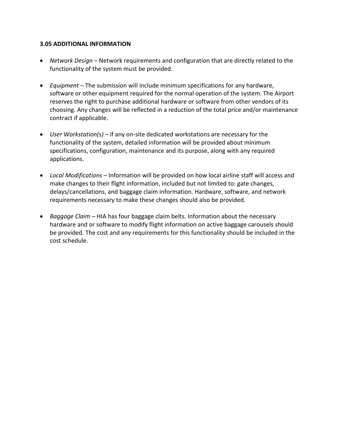#### **3.05 ADDITIONAL INFORMATION**

- *Network Design* Network requirements and configuration that are directly related to the functionality of the system must be provided.
- *Equipment*  The submission will include minimum specifications for any hardware, software or other equipment required for the normal operation of the system. The Airport reserves the right to purchase additional hardware or software from other vendors of its choosing. Any changes will be reflected in a reduction of the total price and/or maintenance contract if applicable.
- *User Workstation(s) –* if any on-site dedicated workstations are necessary for the functionality of the system, detailed information will be provided about minimum specifications, configuration, maintenance and its purpose, along with any required applications.
- *Local Modifications –* Information will be provided on how local airline staff will access and make changes to their flight information, included but not limited to: gate changes, delays/cancellations, and baggage claim information. Hardware, software, and network requirements necessary to make these changes should also be provided.
- *Baggage Claim –* HIA has four baggage claim belts. Information about the necessary hardware and or software to modify flight information on active baggage carousels should be provided. The cost and any requirements for this functionality should be included in the cost schedule.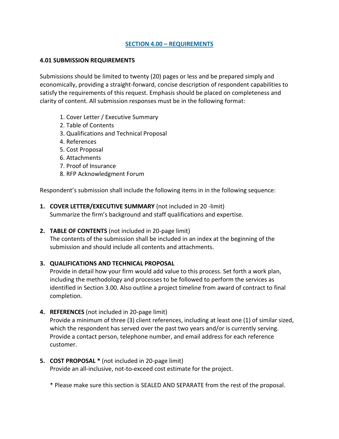### **SECTION 4.00 – REQUIREMENTS**

#### **4.01 SUBMISSION REQUIREMENTS**

Submissions should be limited to twenty (20) pages or less and be prepared simply and economically, providing a straight-forward, concise description of respondent capabilities to satisfy the requirements of this request. Emphasis should be placed on completeness and clarity of content. All submission responses must be in the following format:

- 1. Cover Letter / Executive Summary
- 2. Table of Contents
- 3. Qualifications and Technical Proposal
- 4. References
- 5. Cost Proposal
- 6. Attachments
- 7. Proof of Insurance
- 8. RFP Acknowledgment Forum

Respondent's submission shall include the following items in in the following sequence:

- **1. COVER LETTER/EXECUTIVE SUMMARY** (not included in 20 -limit) Summarize the firm's background and staff qualifications and expertise.
- **2. TABLE OF CONTENTS** (not included in 20-page limit)

The contents of the submission shall be included in an index at the beginning of the submission and should include all contents and attachments.

## **3. QUALIFICATIONS AND TECHNICAL PROPOSAL**

Provide in detail how your firm would add value to this process. Set forth a work plan, including the methodology and processes to be followed to perform the services as identified in Section 3.00. Also outline a project timeline from award of contract to final completion.

- **4. REFERENCES** (not included in 20-page limit) Provide a minimum of three (3) client references, including at least one (1) of similar sized, which the respondent has served over the past two years and/or is currently serving. Provide a contact person, telephone number, and email address for each reference customer.
- **5. COST PROPOSAL \*** (not included in 20-page limit) Provide an all-inclusive, not-to-exceed cost estimate for the project.

\* Please make sure this section is SEALED AND SEPARATE from the rest of the proposal.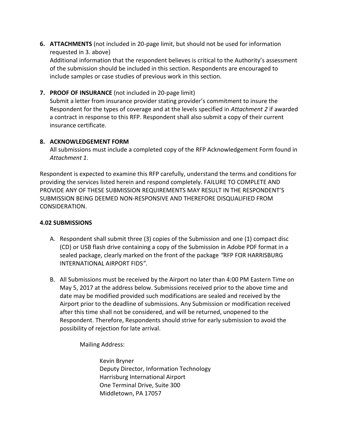**6. ATTACHMENTS** (not included in 20-page limit, but should not be used for information requested in 3. above)

Additional information that the respondent believes is critical to the Authority's assessment of the submission should be included in this section. Respondents are encouraged to include samples or case studies of previous work in this section.

**7. PROOF OF INSURANCE** (not included in 20-page limit)

Submit a letter from insurance provider stating provider's commitment to insure the Respondent for the types of coverage and at the levels specified in *Attachment 2* if awarded a contract in response to this RFP. Respondent shall also submit a copy of their current insurance certificate.

# **8. ACKNOWLEDGEMENT FORM**

All submissions must include a completed copy of the RFP Acknowledgement Form found in *Attachment 1*.

Respondent is expected to examine this RFP carefully, understand the terms and conditions for providing the services listed herein and respond completely. FAILURE TO COMPLETE AND PROVIDE ANY OF THESE SUBMISSION REQUIREMENTS MAY RESULT IN THE RESPONDENT'S SUBMISSION BEING DEEMED NON-RESPONSIVE AND THEREFORE DISQUALIFIED FROM CONSIDERATION.

# **4.02 SUBMISSIONS**

- A. Respondent shall submit three (3) copies of the Submission and one (1) compact disc (CD) or USB flash drive containing a copy of the Submission in Adobe PDF format in a sealed package, clearly marked on the front of the package *"*RFP FOR HARRISBURG INTERNATIONAL AIRPORT FIDS*"*.
- B. All Submissions must be received by the Airport no later than 4:00 PM Eastern Time on May 5, 2017 at the address below. Submissions received prior to the above time and date may be modified provided such modifications are sealed and received by the Airport prior to the deadline of submissions. Any Submission or modification received after this time shall not be considered, and will be returned, unopened to the Respondent. Therefore, Respondents should strive for early submission to avoid the possibility of rejection for late arrival.

Mailing Address:

Kevin Bryner Deputy Director, Information Technology Harrisburg International Airport One Terminal Drive, Suite 300 Middletown, PA 17057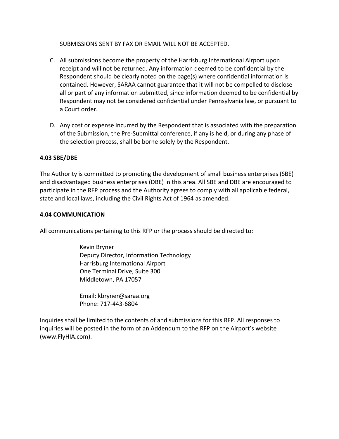SUBMISSIONS SENT BY FAX OR EMAIL WILL NOT BE ACCEPTED.

- C. All submissions become the property of the Harrisburg International Airport upon receipt and will not be returned. Any information deemed to be confidential by the Respondent should be clearly noted on the page(s) where confidential information is contained. However, SARAA cannot guarantee that it will not be compelled to disclose all or part of any information submitted, since information deemed to be confidential by Respondent may not be considered confidential under Pennsylvania law, or pursuant to a Court order.
- D. Any cost or expense incurred by the Respondent that is associated with the preparation of the Submission, the Pre-Submittal conference, if any is held, or during any phase of the selection process, shall be borne solely by the Respondent.

#### **4.03 SBE/DBE**

The Authority is committed to promoting the development of small business enterprises (SBE) and disadvantaged business enterprises (DBE) in this area. All SBE and DBE are encouraged to participate in the RFP process and the Authority agrees to comply with all applicable federal, state and local laws, including the Civil Rights Act of 1964 as amended.

#### **4.04 COMMUNICATION**

All communications pertaining to this RFP or the process should be directed to:

Kevin Bryner Deputy Director, Information Technology Harrisburg International Airport One Terminal Drive, Suite 300 Middletown, PA 17057

Email: kbryner@saraa.org Phone: 717-443-6804

Inquiries shall be limited to the contents of and submissions for this RFP. All responses to inquiries will be posted in the form of an Addendum to the RFP on the Airport's website (www.FlyHIA.com).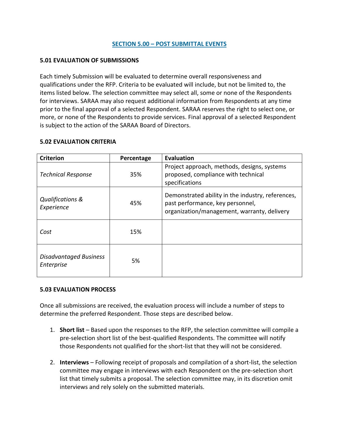#### **SECTION 5.00 – POST SUBMITTAL EVENTS**

#### **5.01 EVALUATION OF SUBMISSIONS**

Each timely Submission will be evaluated to determine overall responsiveness and qualifications under the RFP. Criteria to be evaluated will include, but not be limited to, the items listed below. The selection committee may select all, some or none of the Respondents for interviews. SARAA may also request additional information from Respondents at any time prior to the final approval of a selected Respondent. SARAA reserves the right to select one, or more, or none of the Respondents to provide services. Final approval of a selected Respondent is subject to the action of the SARAA Board of Directors.

#### **5.02 EVALUATION CRITERIA**

| <b>Criterion</b>                            | Percentage | <b>Evaluation</b>                                                                                                                    |
|---------------------------------------------|------------|--------------------------------------------------------------------------------------------------------------------------------------|
| <b>Technical Response</b>                   | 35%        | Project approach, methods, designs, systems<br>proposed, compliance with technical<br>specifications                                 |
| <b>Qualifications &amp;</b><br>Experience   | 45%        | Demonstrated ability in the industry, references,<br>past performance, key personnel,<br>organization/management, warranty, delivery |
| Cost                                        | 15%        |                                                                                                                                      |
| <b>Disadvantaged Business</b><br>Enterprise | 5%         |                                                                                                                                      |

#### **5.03 EVALUATION PROCESS**

Once all submissions are received, the evaluation process will include a number of steps to determine the preferred Respondent. Those steps are described below.

- 1. **Short list** Based upon the responses to the RFP, the selection committee will compile a pre-selection short list of the best-qualified Respondents. The committee will notify those Respondents not qualified for the short-list that they will not be considered.
- 2. **Interviews** Following receipt of proposals and compilation of a short-list, the selection committee may engage in interviews with each Respondent on the pre-selection short list that timely submits a proposal. The selection committee may, in its discretion omit interviews and rely solely on the submitted materials.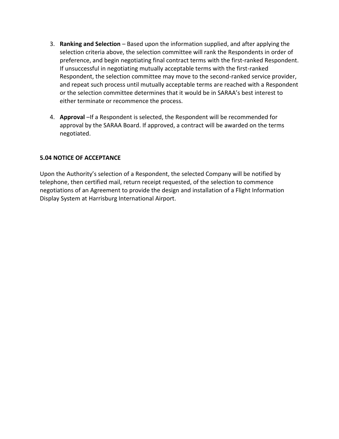- 3. **Ranking and Selection** Based upon the information supplied, and after applying the selection criteria above, the selection committee will rank the Respondents in order of preference, and begin negotiating final contract terms with the first-ranked Respondent. If unsuccessful in negotiating mutually acceptable terms with the first-ranked Respondent, the selection committee may move to the second-ranked service provider, and repeat such process until mutually acceptable terms are reached with a Respondent or the selection committee determines that it would be in SARAA's best interest to either terminate or recommence the process.
- 4. **Approval** –If a Respondent is selected, the Respondent will be recommended for approval by the SARAA Board. If approved, a contract will be awarded on the terms negotiated.

#### **5.04 NOTICE OF ACCEPTANCE**

Upon the Authority's selection of a Respondent, the selected Company will be notified by telephone, then certified mail, return receipt requested, of the selection to commence negotiations of an Agreement to provide the design and installation of a Flight Information Display System at Harrisburg International Airport.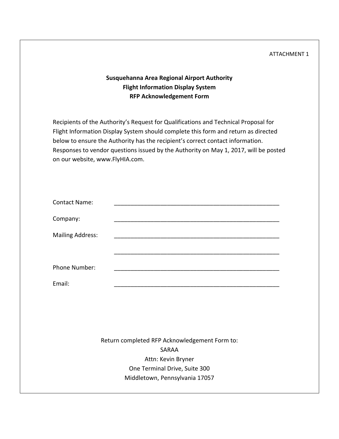#### ATTACHMENT 1

# **Susquehanna Area Regional Airport Authority Flight Information Display System RFP Acknowledgement Form**

Recipients of the Authority's Request for Qualifications and Technical Proposal for Flight Information Display System should complete this form and return as directed below to ensure the Authority has the recipient's correct contact information. Responses to vendor questions issued by the Authority on May 1, 2017, will be posted on our website, www.FlyHIA.com.

| <b>Contact Name:</b>    |  |
|-------------------------|--|
| Company:                |  |
| <b>Mailing Address:</b> |  |
|                         |  |
| Phone Number:           |  |
| Email:                  |  |

Return completed RFP Acknowledgement Form to: SARAA Attn: Kevin Bryner One Terminal Drive, Suite 300 Middletown, Pennsylvania 17057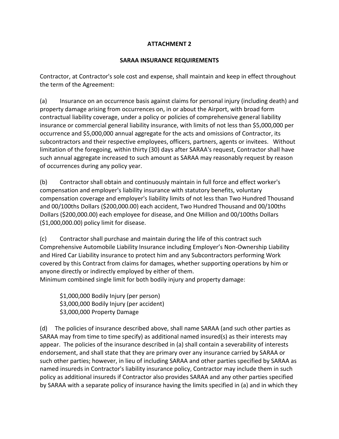# **ATTACHMENT 2**

### **SARAA INSURANCE REQUIREMENTS**

Contractor, at Contractor's sole cost and expense, shall maintain and keep in effect throughout the term of the Agreement:

(a) Insurance on an occurrence basis against claims for personal injury (including death) and property damage arising from occurrences on, in or about the Airport, with broad form contractual liability coverage, under a policy or policies of comprehensive general liability insurance or commercial general liability insurance, with limits of not less than \$5,000,000 per occurrence and \$5,000,000 annual aggregate for the acts and omissions of Contractor, its subcontractors and their respective employees, officers, partners, agents or invitees. Without limitation of the foregoing, within thirty (30) days after SARAA's request, Contractor shall have such annual aggregate increased to such amount as SARAA may reasonably request by reason of occurrences during any policy year.

(b) Contractor shall obtain and continuously maintain in full force and effect worker's compensation and employer's liability insurance with statutory benefits, voluntary compensation coverage and employer's liability limits of not less than Two Hundred Thousand and 00/100ths Dollars (\$200,000.00) each accident, Two Hundred Thousand and 00/100ths Dollars (\$200,000.00) each employee for disease, and One Million and 00/100ths Dollars (\$1,000,000.00) policy limit for disease.

(c) Contractor shall purchase and maintain during the life of this contract such Comprehensive Automobile Liability Insurance including Employer's Non-Ownership Liability and Hired Car Liability insurance to protect him and any Subcontractors performing Work covered by this Contract from claims for damages, whether supporting operations by him or anyone directly or indirectly employed by either of them.

Minimum combined single limit for both bodily injury and property damage:

\$1,000,000 Bodily Injury (per person) \$3,000,000 Bodily Injury (per accident) \$3,000,000 Property Damage

(d) The policies of insurance described above, shall name SARAA (and such other parties as SARAA may from time to time specify) as additional named insured(s) as their interests may appear. The policies of the insurance described in (a) shall contain a severability of interests endorsement, and shall state that they are primary over any insurance carried by SARAA or such other parties; however, in lieu of including SARAA and other parties specified by SARAA as named insureds in Contractor's liability insurance policy, Contractor may include them in such policy as additional insureds if Contractor also provides SARAA and any other parties specified by SARAA with a separate policy of insurance having the limits specified in (a) and in which they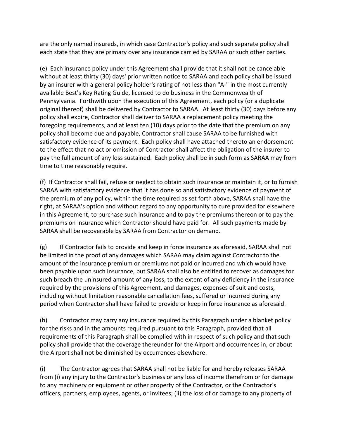are the only named insureds, in which case Contractor's policy and such separate policy shall each state that they are primary over any insurance carried by SARAA or such other parties.

(e) Each insurance policy under this Agreement shall provide that it shall not be cancelable without at least thirty (30) days' prior written notice to SARAA and each policy shall be issued by an insurer with a general policy holder's rating of not less than "A-" in the most currently available Best's Key Rating Guide, licensed to do business in the Commonwealth of Pennsylvania. Forthwith upon the execution of this Agreement, each policy (or a duplicate original thereof) shall be delivered by Contractor to SARAA. At least thirty (30) days before any policy shall expire, Contractor shall deliver to SARAA a replacement policy meeting the foregoing requirements, and at least ten (10) days prior to the date that the premium on any policy shall become due and payable, Contractor shall cause SARAA to be furnished with satisfactory evidence of its payment. Each policy shall have attached thereto an endorsement to the effect that no act or omission of Contractor shall affect the obligation of the insurer to pay the full amount of any loss sustained. Each policy shall be in such form as SARAA may from time to time reasonably require.

(f) If Contractor shall fail, refuse or neglect to obtain such insurance or maintain it, or to furnish SARAA with satisfactory evidence that it has done so and satisfactory evidence of payment of the premium of any policy, within the time required as set forth above, SARAA shall have the right, at SARAA's option and without regard to any opportunity to cure provided for elsewhere in this Agreement, to purchase such insurance and to pay the premiums thereon or to pay the premiums on insurance which Contractor should have paid for. All such payments made by SARAA shall be recoverable by SARAA from Contractor on demand.

 $(g)$  If Contractor fails to provide and keep in force insurance as aforesaid, SARAA shall not be limited in the proof of any damages which SARAA may claim against Contractor to the amount of the insurance premium or premiums not paid or incurred and which would have been payable upon such insurance, but SARAA shall also be entitled to recover as damages for such breach the uninsured amount of any loss, to the extent of any deficiency in the insurance required by the provisions of this Agreement, and damages, expenses of suit and costs, including without limitation reasonable cancellation fees, suffered or incurred during any period when Contractor shall have failed to provide or keep in force insurance as aforesaid.

(h) Contractor may carry any insurance required by this Paragraph under a blanket policy for the risks and in the amounts required pursuant to this Paragraph, provided that all requirements of this Paragraph shall be complied with in respect of such policy and that such policy shall provide that the coverage thereunder for the Airport and occurrences in, or about the Airport shall not be diminished by occurrences elsewhere.

(i) The Contractor agrees that SARAA shall not be liable for and hereby releases SARAA from (i) any injury to the Contractor's business or any loss of income therefrom or for damage to any machinery or equipment or other property of the Contractor, or the Contractor's officers, partners, employees, agents, or invitees; (ii) the loss of or damage to any property of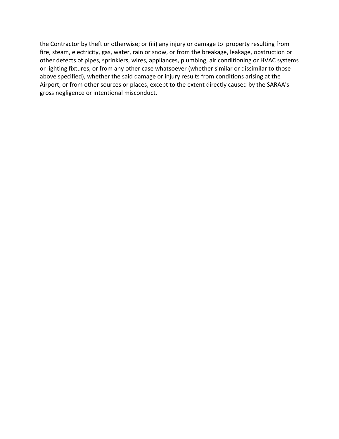the Contractor by theft or otherwise; or (iii) any injury or damage to property resulting from fire, steam, electricity, gas, water, rain or snow, or from the breakage, leakage, obstruction or other defects of pipes, sprinklers, wires, appliances, plumbing, air conditioning or HVAC systems or lighting fixtures, or from any other case whatsoever (whether similar or dissimilar to those above specified), whether the said damage or injury results from conditions arising at the Airport, or from other sources or places, except to the extent directly caused by the SARAA's gross negligence or intentional misconduct.